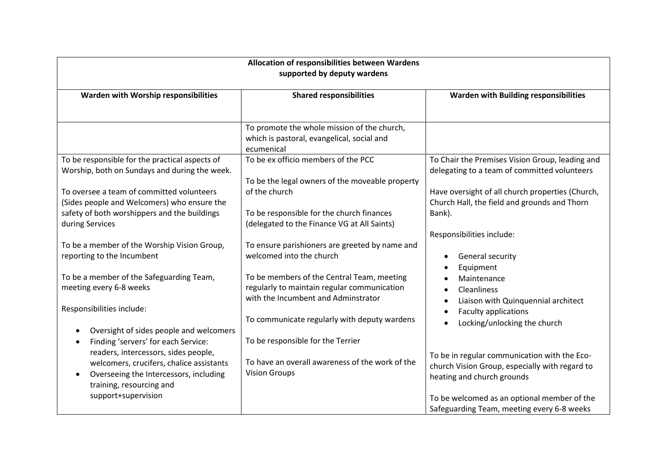| Allocation of responsibilities between Wardens<br>supported by deputy wardens                                                            |                                                                                                                                  |                                                                                                            |  |
|------------------------------------------------------------------------------------------------------------------------------------------|----------------------------------------------------------------------------------------------------------------------------------|------------------------------------------------------------------------------------------------------------|--|
| Warden with Worship responsibilities                                                                                                     | <b>Shared responsibilities</b>                                                                                                   | Warden with Building responsibilities                                                                      |  |
|                                                                                                                                          | To promote the whole mission of the church,<br>which is pastoral, evangelical, social and<br>ecumenical                          |                                                                                                            |  |
| To be responsible for the practical aspects of<br>Worship, both on Sundays and during the week.                                          | To be ex officio members of the PCC<br>To be the legal owners of the moveable property                                           | To Chair the Premises Vision Group, leading and<br>delegating to a team of committed volunteers            |  |
| To oversee a team of committed volunteers<br>(Sides people and Welcomers) who ensure the<br>safety of both worshippers and the buildings | of the church<br>To be responsible for the church finances                                                                       | Have oversight of all church properties (Church,<br>Church Hall, the field and grounds and Thorn<br>Bank). |  |
| during Services<br>To be a member of the Worship Vision Group,                                                                           | (delegated to the Finance VG at All Saints)<br>To ensure parishioners are greeted by name and                                    | Responsibilities include:                                                                                  |  |
| reporting to the Incumbent                                                                                                               | welcomed into the church                                                                                                         | General security<br>Equipment<br>$\bullet$                                                                 |  |
| To be a member of the Safeguarding Team,<br>meeting every 6-8 weeks                                                                      | To be members of the Central Team, meeting<br>regularly to maintain regular communication<br>with the Incumbent and Adminstrator | Maintenance<br>$\bullet$<br>Cleanliness<br>$\bullet$<br>Liaison with Quinquennial architect<br>$\bullet$   |  |
| Responsibilities include:                                                                                                                | To communicate regularly with deputy wardens                                                                                     | <b>Faculty applications</b><br>$\bullet$<br>Locking/unlocking the church<br>$\bullet$                      |  |
| Oversight of sides people and welcomers<br>Finding 'servers' for each Service:<br>readers, intercessors, sides people,                   | To be responsible for the Terrier                                                                                                | To be in regular communication with the Eco-                                                               |  |
| welcomers, crucifers, chalice assistants<br>Overseeing the Intercessors, including<br>training, resourcing and                           | To have an overall awareness of the work of the<br><b>Vision Groups</b>                                                          | church Vision Group, especially with regard to<br>heating and church grounds                               |  |
| support+supervision                                                                                                                      |                                                                                                                                  | To be welcomed as an optional member of the<br>Safeguarding Team, meeting every 6-8 weeks                  |  |